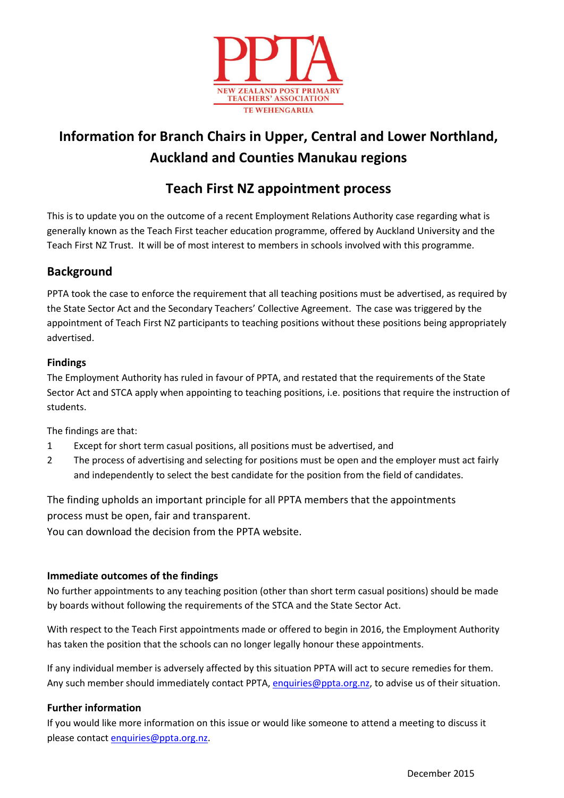

# **Information for Branch Chairs in Upper, Central and Lower Northland, Auckland and Counties Manukau regions**

## **Teach First NZ appointment process**

This is to update you on the outcome of a recent Employment Relations Authority case regarding what is generally known as the Teach First teacher education programme, offered by Auckland University and the Teach First NZ Trust. It will be of most interest to members in schools involved with this programme.

## **Background**

PPTA took the case to enforce the requirement that all teaching positions must be advertised, as required by the State Sector Act and the Secondary Teachers' Collective Agreement. The case was triggered by the appointment of Teach First NZ participants to teaching positions without these positions being appropriately advertised.

## **Findings**

The Employment Authority has ruled in favour of PPTA, and restated that the requirements of the State Sector Act and STCA apply when appointing to teaching positions, i.e. positions that require the instruction of students.

The findings are that:

- 1 Except for short term casual positions, all positions must be advertised, and
- 2 The process of advertising and selecting for positions must be open and the employer must act fairly and independently to select the best candidate for the position from the field of candidates.

The finding upholds an important principle for all PPTA members that the appointments process must be open, fair and transparent.

[You can download the decision from the PPTA website.](http://employment.govt.nz/workplace/determinations/FullSummary.aspx?ID=56085924)

## **Immediate outcomes of the findings**

No further appointments to any teaching position (other than short term casual positions) should be made by boards without following the requirements of the STCA and the State Sector Act.

With respect to the Teach First appointments made or offered to begin in 2016, the Employment Authority has taken the position that the schools can no longer legally honour these appointments.

If any individual member is adversely affected by this situation PPTA will act to secure remedies for them. Any such member should immediately contact PPTA, [enquiries@ppta.org.nz,](mailto:enquiries@ppta.org.nz) to advise us of their situation.

### **Further information**

If you would like more information on this issue or would like someone to attend a meeting to discuss it please contact [enquiries@ppta.org.nz.](mailto:enquiries@ppta.org.nz)